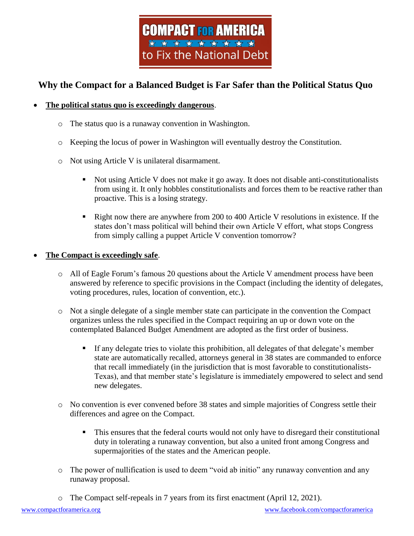

## **Why the Compact for a Balanced Budget is Far Safer than the Political Status Quo**

## **The political status quo is exceedingly dangerous**.

- o The status quo is a runaway convention in Washington.
- o Keeping the locus of power in Washington will eventually destroy the Constitution.
- o Not using Article V is unilateral disarmament.
	- Not using Article V does not make it go away. It does not disable anti-constitutionalists from using it. It only hobbles constitutionalists and forces them to be reactive rather than proactive. This is a losing strategy.
	- **EXECUTE:** Right now there are anywhere from 200 to 400 Article V resolutions in existence. If the states don't mass political will behind their own Article V effort, what stops Congress from simply calling a puppet Article V convention tomorrow?

## **The Compact is exceedingly safe**.

- o All of Eagle Forum's famous 20 questions about the Article V amendment process have been answered by reference to specific provisions in the Compact (including the identity of delegates, voting procedures, rules, location of convention, etc.).
- o Not a single delegate of a single member state can participate in the convention the Compact organizes unless the rules specified in the Compact requiring an up or down vote on the contemplated Balanced Budget Amendment are adopted as the first order of business.
	- If any delegate tries to violate this prohibition, all delegates of that delegate's member state are automatically recalled, attorneys general in 38 states are commanded to enforce that recall immediately (in the jurisdiction that is most favorable to constitutionalists-Texas), and that member state's legislature is immediately empowered to select and send new delegates.
- o No convention is ever convened before 38 states and simple majorities of Congress settle their differences and agree on the Compact.
	- This ensures that the federal courts would not only have to disregard their constitutional duty in tolerating a runaway convention, but also a united front among Congress and supermajorities of the states and the American people.
- o The power of nullification is used to deem "void ab initio" any runaway convention and any runaway proposal.
- o The Compact self-repeals in 7 years from its first enactment (April 12, 2021).